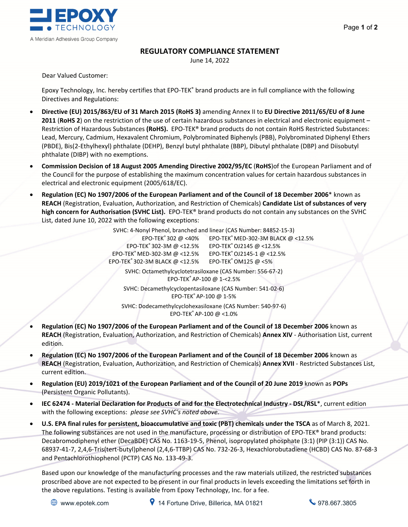

## **REGULATORY COMPLIANCE STATEMENT**

June 14, 2022

Dear Valued Customer:

Epoxy Technology, Inc. hereby certifies that EPO‐TEK® brand products are in full compliance with the following Directives and Regulations:

- **Directive (EU) 2015/863/EU of 31 March 2015 (RoHS 3)** amending Annex II to **EU Directive 2011/65/EU of 8 June 2011** (**RoHS 2**) on the restriction of the use of certain hazardous substances in electrical and electronic equipment – Restriction of Hazardous Substances **(RoHS).** EPO‐TEK® brand products do not contain RoHS Restricted Substances: Lead, Mercury, Cadmium, Hexavalent Chromium, Polybrominated Biphenyls (PBB), Polybrominated Diphenyl Ethers (PBDE), Bis(2‐Ethylhexyl) phthalate (DEHP), Benzyl butyl phthalate (BBP), Dibutyl phthalate (DBP) and Diisobutyl phthalate (DIBP) with no exemptions.
- **Commission Decision of 18 August 2005 Amending Directive 2002/95/EC** (**RoHS**)of the European Parliament and of the Council for the purpose of establishing the maximum concentration values for certain hazardous substances in electrical and electronic equipment (2005/618/EC).
- **Regulation (EC) No 1907/2006 of the European Parliament and of the Council of 18 December 2006**\* known as **REACH** (Registration, Evaluation, Authorization, and Restriction of Chemicals) **Candidate List of substances of very high concern for Authorisation (SVHC List).** EPO‐TEK® brand products do not contain any substances on the SVHC List, dated June 10, 2022 with the following exceptions:

SVHC: 4‐Nonyl Phenol, branched and linear (CAS Number: 84852‐15‐3) EPO‐TEK® 302 @ <40% EPO‐TEK® MED‐302‐3M BLACK @ <12.5% EPO‐TEK® 302‐3M @ <12.5% EPO‐TEK®OJ2145 @ <12.5% EPO‐TEK® MED‐302‐3M @ <12.5% EPO‐TEK®OJ2145‐1 @ <12.5% EPO‐TEK® 302‐3M BLACK @ <12.5% EPO‐TEK®OM125 @ <5%

SVHC: Octamethylcyclotetrasiloxane (CAS Number: 556‐67‐2) EPO‐TEK® AP‐100 @ 1‐<2.5%

SVHC: Decamethylcyclopentasiloxane (CAS Number: 541‐02‐6) EPO‐TEK® AP‐100 @ 1‐5%

SVHC: Dodecamethylcyclohexasiloxane (CAS Number: 540‐97‐6) EPO‐TEK® AP‐100 @ <1.0%

- **Regulation (EC) No 1907/2006 of the European Parliament and of the Council of 18 December 2006** known as **REACH** (Registration, Evaluation, Authorization, and Restriction of Chemicals) **Annex XIV** ‐ Authorisation List, current edition.
- **Regulation (EC) No 1907/2006 of the European Parliament and of the Council of 18 December 2006** known as **REACH** (Registration, Evaluation, Authorization, and Restriction of Chemicals) **Annex XVII** ‐ Restricted Substances List, current edition.
- **Regulation (EU) 2019/1021 of the European Parliament and of the Council of 20 June 2019** known as **POPs** (Persistent Organic Pollutants).
- **IEC 62474 ‐ Material Declaration for Products of and for the Electrotechnical Industry ‐ DSL/RSL**\*, current edition with the following exceptions: *please see SVHC's noted above.*
- **U.S. EPA final rules for persistent, bioaccumulative and toxic (PBT) chemicals under the TSCA** as of March 8, 2021. The following substances are not used in the manufacture, processing or distribution of EPO-TEK® brand products: Decabromodiphenyl ether (DecaBDE) CAS No. 1163‐19‐5, Phenol, isopropylated phosphate (3:1) (PIP (3:1)) CAS No. 68937‐41‐7, 2,4,6‐Tris(tert‐butyl)phenol (2,4,6‐TTBP) CAS No. 732‐26‐3, Hexachlorobutadiene (HCBD) CAS No. 87‐68‐3 and Pentachlorothiophenol (PCTP) CAS No. 133‐49‐3.

Based upon our knowledge of the manufacturing processes and the raw materials utilized, the restricted substances proscribed above are not expected to be present in our final products in levels exceeding the limitations set forth in the above regulations. Testing is available from Epoxy Technology, Inc. for a fee.